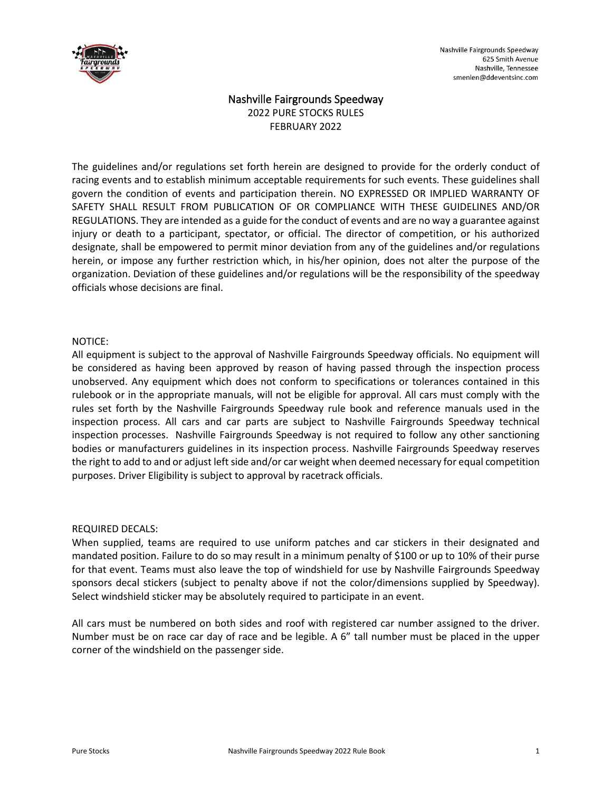

# Nashville Fairgrounds Speedway 2022 PURE STOCKS RULES FEBRUARY 2022

The guidelines and/or regulations set forth herein are designed to provide for the orderly conduct of racing events and to establish minimum acceptable requirements for such events. These guidelines shall govern the condition of events and participation therein. NO EXPRESSED OR IMPLIED WARRANTY OF SAFETY SHALL RESULT FROM PUBLICATION OF OR COMPLIANCE WITH THESE GUIDELINES AND/OR REGULATIONS. They are intended as a guide for the conduct of events and are no way a guarantee against injury or death to a participant, spectator, or official. The director of competition, or his authorized designate, shall be empowered to permit minor deviation from any of the guidelines and/or regulations herein, or impose any further restriction which, in his/her opinion, does not alter the purpose of the organization. Deviation of these guidelines and/or regulations will be the responsibility of the speedway officials whose decisions are final.

### NOTICE:

All equipment is subject to the approval of Nashville Fairgrounds Speedway officials. No equipment will be considered as having been approved by reason of having passed through the inspection process unobserved. Any equipment which does not conform to specifications or tolerances contained in this rulebook or in the appropriate manuals, will not be eligible for approval. All cars must comply with the rules set forth by the Nashville Fairgrounds Speedway rule book and reference manuals used in the inspection process. All cars and car parts are subject to Nashville Fairgrounds Speedway technical inspection processes. Nashville Fairgrounds Speedway is not required to follow any other sanctioning bodies or manufacturers guidelines in its inspection process. Nashville Fairgrounds Speedway reserves the right to add to and or adjust left side and/or car weight when deemed necessary for equal competition purposes. Driver Eligibility is subject to approval by racetrack officials.

### REQUIRED DECALS:

When supplied, teams are required to use uniform patches and car stickers in their designated and mandated position. Failure to do so may result in a minimum penalty of \$100 or up to 10% of their purse for that event. Teams must also leave the top of windshield for use by Nashville Fairgrounds Speedway sponsors decal stickers (subject to penalty above if not the color/dimensions supplied by Speedway). Select windshield sticker may be absolutely required to participate in an event.

All cars must be numbered on both sides and roof with registered car number assigned to the driver. Number must be on race car day of race and be legible. A 6" tall number must be placed in the upper corner of the windshield on the passenger side.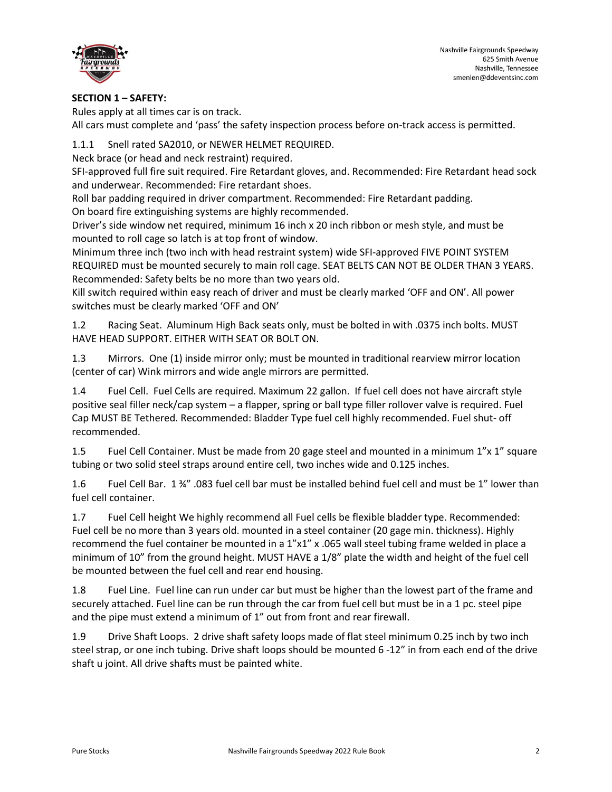

## **SECTION 1 – SAFETY:**

Rules apply at all times car is on track. All cars must complete and 'pass' the safety inspection process before on-track access is permitted.

1.1.1 Snell rated SA2010, or NEWER HELMET REQUIRED.

Neck brace (or head and neck restraint) required.

SFI-approved full fire suit required. Fire Retardant gloves, and. Recommended: Fire Retardant head sock and underwear. Recommended: Fire retardant shoes.

Roll bar padding required in driver compartment. Recommended: Fire Retardant padding.

On board fire extinguishing systems are highly recommended.

Driver's side window net required, minimum 16 inch x 20 inch ribbon or mesh style, and must be mounted to roll cage so latch is at top front of window.

Minimum three inch (two inch with head restraint system) wide SFI-approved FIVE POINT SYSTEM REQUIRED must be mounted securely to main roll cage. SEAT BELTS CAN NOT BE OLDER THAN 3 YEARS. Recommended: Safety belts be no more than two years old.

Kill switch required within easy reach of driver and must be clearly marked 'OFF and ON'. All power switches must be clearly marked 'OFF and ON'

1.2 Racing Seat. Aluminum High Back seats only, must be bolted in with .0375 inch bolts. MUST HAVE HEAD SUPPORT. EITHER WITH SEAT OR BOLT ON.

1.3 Mirrors. One (1) inside mirror only; must be mounted in traditional rearview mirror location (center of car) Wink mirrors and wide angle mirrors are permitted.

1.4 Fuel Cell. Fuel Cells are required. Maximum 22 gallon. If fuel cell does not have aircraft style positive seal filler neck/cap system – a flapper, spring or ball type filler rollover valve is required. Fuel Cap MUST BE Tethered. Recommended: Bladder Type fuel cell highly recommended. Fuel shut- off recommended.

1.5 Fuel Cell Container. Must be made from 20 gage steel and mounted in a minimum 1"x 1" square tubing or two solid steel straps around entire cell, two inches wide and 0.125 inches.

1.6 Fuel Cell Bar. 1 ¾" .083 fuel cell bar must be installed behind fuel cell and must be 1" lower than fuel cell container.

1.7 Fuel Cell height We highly recommend all Fuel cells be flexible bladder type. Recommended: Fuel cell be no more than 3 years old. mounted in a steel container (20 gage min. thickness). Highly recommend the fuel container be mounted in a 1"x1" x .065 wall steel tubing frame welded in place a minimum of 10" from the ground height. MUST HAVE a 1/8" plate the width and height of the fuel cell be mounted between the fuel cell and rear end housing.

1.8 Fuel Line. Fuel line can run under car but must be higher than the lowest part of the frame and securely attached. Fuel line can be run through the car from fuel cell but must be in a 1 pc. steel pipe and the pipe must extend a minimum of 1" out from front and rear firewall.

1.9 Drive Shaft Loops. 2 drive shaft safety loops made of flat steel minimum 0.25 inch by two inch steel strap, or one inch tubing. Drive shaft loops should be mounted 6 -12" in from each end of the drive shaft u joint. All drive shafts must be painted white.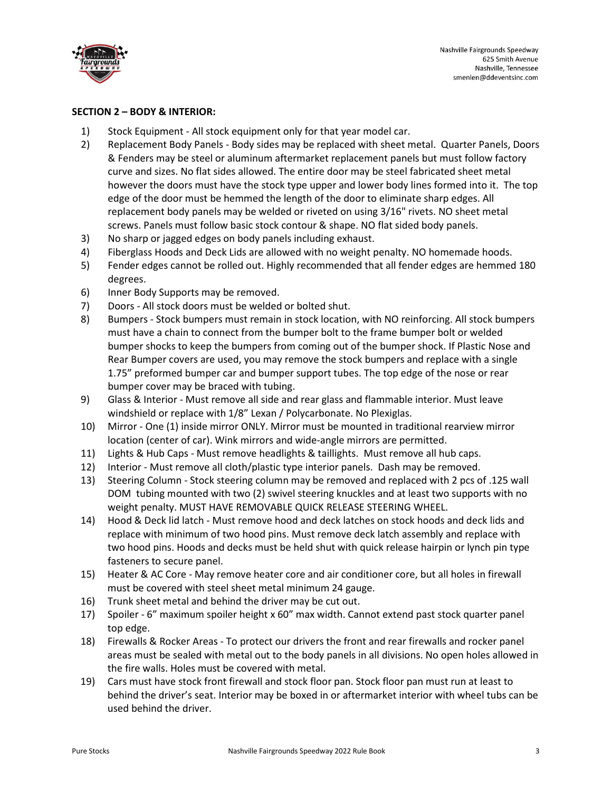

### **SECTION 2 – BODY & INTERIOR:**

- 1) Stock Equipment All stock equipment only for that year model car.
- 2) Replacement Body Panels Body sides may be replaced with sheet metal. Quarter Panels, Doors & Fenders may be steel or aluminum aftermarket replacement panels but must follow factory curve and sizes. No flat sides allowed. The entire door may be steel fabricated sheet metal however the doors must have the stock type upper and lower body lines formed into it. The top edge of the door must be hemmed the length of the door to eliminate sharp edges. All replacement body panels may be welded or riveted on using 3/16" rivets. NO sheet metal screws. Panels must follow basic stock contour & shape. NO flat sided body panels.
- 3) No sharp or jagged edges on body panels including exhaust.
- 4) Fiberglass Hoods and Deck Lids are allowed with no weight penalty. NO homemade hoods.
- 5) Fender edges cannot be rolled out. Highly recommended that all fender edges are hemmed 180 degrees.
- 6) Inner Body Supports may be removed.
- 7) Doors All stock doors must be welded or bolted shut.
- 8) Bumpers Stock bumpers must remain in stock location, with NO reinforcing. All stock bumpers must have a chain to connect from the bumper bolt to the frame bumper bolt or welded bumper shocks to keep the bumpers from coming out of the bumper shock. If Plastic Nose and Rear Bumper covers are used, you may remove the stock bumpers and replace with a single 1.75" preformed bumper car and bumper support tubes. The top edge of the nose or rear bumper cover may be braced with tubing.
- 9) Glass & Interior Must remove all side and rear glass and flammable interior. Must leave windshield or replace with 1/8" Lexan / Polycarbonate. No Plexiglas.
- 10) Mirror One (1) inside mirror ONLY. Mirror must be mounted in traditional rearview mirror location (center of car). Wink mirrors and wide-angle mirrors are permitted.
- 11) Lights & Hub Caps Must remove headlights & taillights. Must remove all hub caps.
- 12) Interior Must remove all cloth/plastic type interior panels. Dash may be removed.
- 13) Steering Column Stock steering column may be removed and replaced with 2 pcs of .125 wall DOM tubing mounted with two (2) swivel steering knuckles and at least two supports with no weight penalty. MUST HAVE REMOVABLE QUICK RELEASE STEERING WHEEL.
- 14) Hood & Deck lid latch Must remove hood and deck latches on stock hoods and deck lids and replace with minimum of two hood pins. Must remove deck latch assembly and replace with two hood pins. Hoods and decks must be held shut with quick release hairpin or lynch pin type fasteners to secure panel.
- 15) Heater & AC Core May remove heater core and air conditioner core, but all holes in firewall must be covered with steel sheet metal minimum 24 gauge.
- 16) Trunk sheet metal and behind the driver may be cut out.
- 17) Spoiler 6" maximum spoiler height x 60" max width. Cannot extend past stock quarter panel top edge.
- 18) Firewalls & Rocker Areas To protect our drivers the front and rear firewalls and rocker panel areas must be sealed with metal out to the body panels in all divisions. No open holes allowed in the fire walls. Holes must be covered with metal.
- 19) Cars must have stock front firewall and stock floor pan. Stock floor pan must run at least to behind the driver's seat. Interior may be boxed in or aftermarket interior with wheel tubs can be used behind the driver.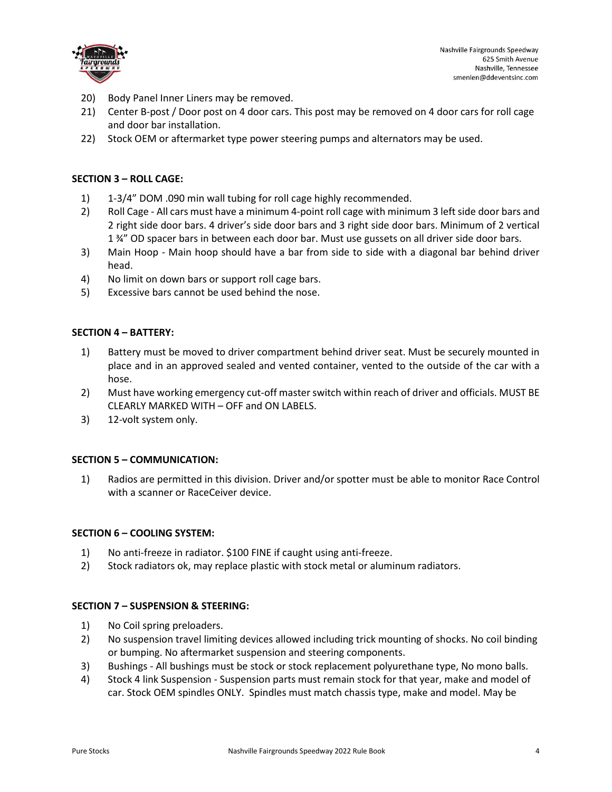

- 20) Body Panel Inner Liners may be removed.
- 21) Center B-post / Door post on 4 door cars. This post may be removed on 4 door cars for roll cage and door bar installation.
- 22) Stock OEM or aftermarket type power steering pumps and alternators may be used.

### **SECTION 3 – ROLL CAGE:**

- 1) 1-3/4" DOM .090 min wall tubing for roll cage highly recommended.
- 2) Roll Cage All cars must have a minimum 4-point roll cage with minimum 3 left side door bars and 2 right side door bars. 4 driver's side door bars and 3 right side door bars. Minimum of 2 vertical 1 ¾" OD spacer bars in between each door bar. Must use gussets on all driver side door bars.
- 3) Main Hoop Main hoop should have a bar from side to side with a diagonal bar behind driver head.
- 4) No limit on down bars or support roll cage bars.
- 5) Excessive bars cannot be used behind the nose.

### **SECTION 4 – BATTERY:**

- 1) Battery must be moved to driver compartment behind driver seat. Must be securely mounted in place and in an approved sealed and vented container, vented to the outside of the car with a hose.
- 2) Must have working emergency cut-off master switch within reach of driver and officials. MUST BE CLEARLY MARKED WITH – OFF and ON LABELS.
- 3) 12-volt system only.

### **SECTION 5 – COMMUNICATION:**

1) Radios are permitted in this division. Driver and/or spotter must be able to monitor Race Control with a scanner or RaceCeiver device.

### **SECTION 6 – COOLING SYSTEM:**

- 1) No anti-freeze in radiator. \$100 FINE if caught using anti-freeze.
- 2) Stock radiators ok, may replace plastic with stock metal or aluminum radiators.

### **SECTION 7 – SUSPENSION & STEERING:**

- 1) No Coil spring preloaders.
- 2) No suspension travel limiting devices allowed including trick mounting of shocks. No coil binding or bumping. No aftermarket suspension and steering components.
- 3) Bushings All bushings must be stock or stock replacement polyurethane type, No mono balls.
- 4) Stock 4 link Suspension Suspension parts must remain stock for that year, make and model of car. Stock OEM spindles ONLY. Spindles must match chassis type, make and model. May be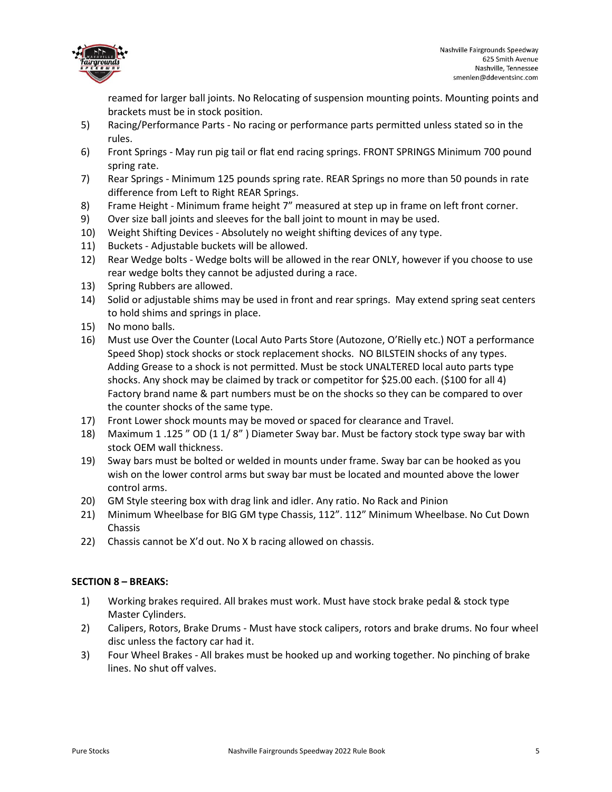

reamed for larger ball joints. No Relocating of suspension mounting points. Mounting points and brackets must be in stock position.

- 5) Racing/Performance Parts No racing or performance parts permitted unless stated so in the rules.
- 6) Front Springs May run pig tail or flat end racing springs. FRONT SPRINGS Minimum 700 pound spring rate.
- 7) Rear Springs Minimum 125 pounds spring rate. REAR Springs no more than 50 pounds in rate difference from Left to Right REAR Springs.
- 8) Frame Height Minimum frame height 7" measured at step up in frame on left front corner.
- 9) Over size ball joints and sleeves for the ball joint to mount in may be used.
- 10) Weight Shifting Devices Absolutely no weight shifting devices of any type.
- 11) Buckets Adjustable buckets will be allowed.
- 12) Rear Wedge bolts Wedge bolts will be allowed in the rear ONLY, however if you choose to use rear wedge bolts they cannot be adjusted during a race.
- 13) Spring Rubbers are allowed.
- 14) Solid or adjustable shims may be used in front and rear springs. May extend spring seat centers to hold shims and springs in place.
- 15) No mono balls.
- 16) Must use Over the Counter (Local Auto Parts Store (Autozone, O'Rielly etc.) NOT a performance Speed Shop) stock shocks or stock replacement shocks. NO BILSTEIN shocks of any types. Adding Grease to a shock is not permitted. Must be stock UNALTERED local auto parts type shocks. Any shock may be claimed by track or competitor for \$25.00 each. (\$100 for all 4) Factory brand name & part numbers must be on the shocks so they can be compared to over the counter shocks of the same type.
- 17) Front Lower shock mounts may be moved or spaced for clearance and Travel.
- 18) Maximum 1 .125 " OD (1 1/ 8" ) Diameter Sway bar. Must be factory stock type sway bar with stock OEM wall thickness.
- 19) Sway bars must be bolted or welded in mounts under frame. Sway bar can be hooked as you wish on the lower control arms but sway bar must be located and mounted above the lower control arms.
- 20) GM Style steering box with drag link and idler. Any ratio. No Rack and Pinion
- 21) Minimum Wheelbase for BIG GM type Chassis, 112". 112" Minimum Wheelbase. No Cut Down Chassis
- 22) Chassis cannot be X'd out. No X b racing allowed on chassis.

## **SECTION 8 – BREAKS:**

- 1) Working brakes required. All brakes must work. Must have stock brake pedal & stock type Master Cylinders.
- 2) Calipers, Rotors, Brake Drums Must have stock calipers, rotors and brake drums. No four wheel disc unless the factory car had it.
- 3) Four Wheel Brakes All brakes must be hooked up and working together. No pinching of brake lines. No shut off valves.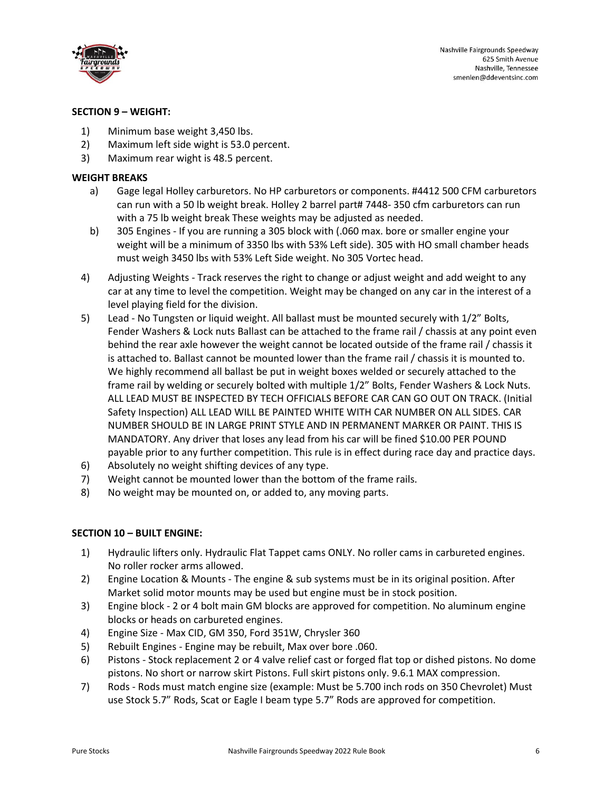

## **SECTION 9 – WEIGHT:**

- 1) Minimum base weight 3,450 lbs.
- 2) Maximum left side wight is 53.0 percent.
- 3) Maximum rear wight is 48.5 percent.

# **WEIGHT BREAKS**

- a) Gage legal Holley carburetors. No HP carburetors or components. #4412 500 CFM carburetors can run with a 50 lb weight break. Holley 2 barrel part# 7448- 350 cfm carburetors can run with a 75 lb weight break These weights may be adjusted as needed.
- b) 305 Engines If you are running a 305 block with (.060 max. bore or smaller engine your weight will be a minimum of 3350 lbs with 53% Left side). 305 with HO small chamber heads must weigh 3450 lbs with 53% Left Side weight. No 305 Vortec head.
- 4) Adjusting Weights Track reserves the right to change or adjust weight and add weight to any car at any time to level the competition. Weight may be changed on any car in the interest of a level playing field for the division.
- 5) Lead No Tungsten or liquid weight. All ballast must be mounted securely with 1/2" Bolts, Fender Washers & Lock nuts Ballast can be attached to the frame rail / chassis at any point even behind the rear axle however the weight cannot be located outside of the frame rail / chassis it is attached to. Ballast cannot be mounted lower than the frame rail / chassis it is mounted to. We highly recommend all ballast be put in weight boxes welded or securely attached to the frame rail by welding or securely bolted with multiple 1/2" Bolts, Fender Washers & Lock Nuts. ALL LEAD MUST BE INSPECTED BY TECH OFFICIALS BEFORE CAR CAN GO OUT ON TRACK. (Initial Safety Inspection) ALL LEAD WILL BE PAINTED WHITE WITH CAR NUMBER ON ALL SIDES. CAR NUMBER SHOULD BE IN LARGE PRINT STYLE AND IN PERMANENT MARKER OR PAINT. THIS IS MANDATORY. Any driver that loses any lead from his car will be fined \$10.00 PER POUND payable prior to any further competition. This rule is in effect during race day and practice days.
- 6) Absolutely no weight shifting devices of any type.
- 7) Weight cannot be mounted lower than the bottom of the frame rails.
- 8) No weight may be mounted on, or added to, any moving parts.

## **SECTION 10 – BUILT ENGINE:**

- 1) Hydraulic lifters only. Hydraulic Flat Tappet cams ONLY. No roller cams in carbureted engines. No roller rocker arms allowed.
- 2) Engine Location & Mounts The engine & sub systems must be in its original position. After Market solid motor mounts may be used but engine must be in stock position.
- 3) Engine block 2 or 4 bolt main GM blocks are approved for competition. No aluminum engine blocks or heads on carbureted engines.
- 4) Engine Size Max CID, GM 350, Ford 351W, Chrysler 360
- 5) Rebuilt Engines Engine may be rebuilt, Max over bore .060.
- 6) Pistons Stock replacement 2 or 4 valve relief cast or forged flat top or dished pistons. No dome pistons. No short or narrow skirt Pistons. Full skirt pistons only. 9.6.1 MAX compression.
- 7) Rods Rods must match engine size (example: Must be 5.700 inch rods on 350 Chevrolet) Must use Stock 5.7" Rods, Scat or Eagle I beam type 5.7" Rods are approved for competition.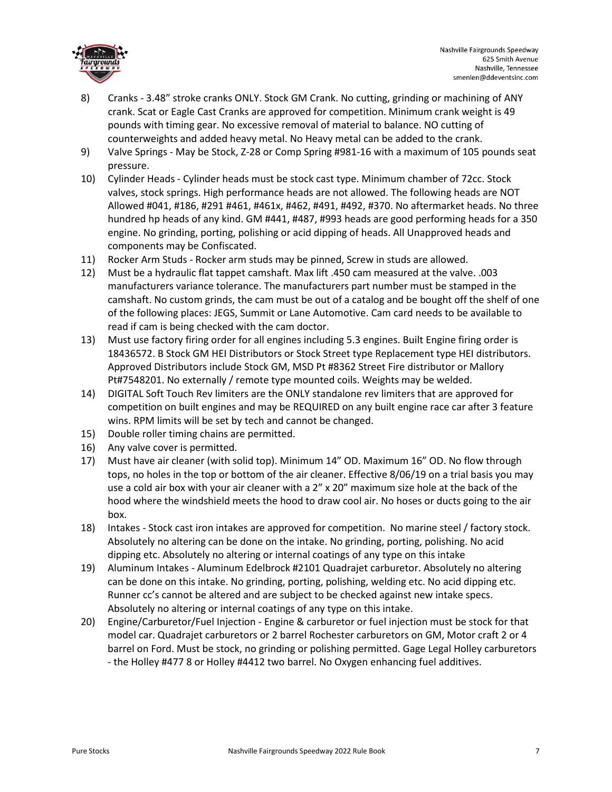

- 8) Cranks 3.48" stroke cranks ONLY. Stock GM Crank. No cutting, grinding or machining of ANY crank. Scat or Eagle Cast Cranks are approved for competition. Minimum crank weight is 49 pounds with timing gear. No excessive removal of material to balance. NO cutting of counterweights and added heavy metal. No Heavy metal can be added to the crank.
- 9) Valve Springs May be Stock, Z-28 or Comp Spring #981-16 with a maximum of 105 pounds seat pressure.
- 10) Cylinder Heads Cylinder heads must be stock cast type. Minimum chamber of 72cc. Stock valves, stock springs. High performance heads are not allowed. The following heads are NOT Allowed #041, #186, #291 #461, #461x, #462, #491, #492, #370. No aftermarket heads. No three hundred hp heads of any kind. GM #441, #487, #993 heads are good performing heads for a 350 engine. No grinding, porting, polishing or acid dipping of heads. All Unapproved heads and components may be Confiscated.
- 11) Rocker Arm Studs Rocker arm studs may be pinned, Screw in studs are allowed.
- 12) Must be a hydraulic flat tappet camshaft. Max lift .450 cam measured at the valve. .003 manufacturers variance tolerance. The manufacturers part number must be stamped in the camshaft. No custom grinds, the cam must be out of a catalog and be bought off the shelf of one of the following places: JEGS, Summit or Lane Automotive. Cam card needs to be available to read if cam is being checked with the cam doctor.
- 13) Must use factory firing order for all engines including 5.3 engines. Built Engine firing order is 18436572. B Stock GM HEI Distributors or Stock Street type Replacement type HEI distributors. Approved Distributors include Stock GM, MSD Pt #8362 Street Fire distributor or Mallory Pt#7548201. No externally / remote type mounted coils. Weights may be welded.
- 14) DIGITAL Soft Touch Rev limiters are the ONLY standalone rev limiters that are approved for competition on built engines and may be REQUIRED on any built engine race car after 3 feature wins. RPM limits will be set by tech and cannot be changed.
- 15) Double roller timing chains are permitted.
- 16) Any valve cover is permitted.
- 17) Must have air cleaner (with solid top). Minimum 14" OD. Maximum 16" OD. No flow through tops, no holes in the top or bottom of the air cleaner. Effective 8/06/19 on a trial basis you may use a cold air box with your air cleaner with a 2" x 20" maximum size hole at the back of the hood where the windshield meets the hood to draw cool air. No hoses or ducts going to the air box.
- 18) Intakes Stock cast iron intakes are approved for competition. No marine steel / factory stock. Absolutely no altering can be done on the intake. No grinding, porting, polishing. No acid dipping etc. Absolutely no altering or internal coatings of any type on this intake
- 19) Aluminum Intakes Aluminum Edelbrock #2101 Quadrajet carburetor. Absolutely no altering can be done on this intake. No grinding, porting, polishing, welding etc. No acid dipping etc. Runner cc's cannot be altered and are subject to be checked against new intake specs. Absolutely no altering or internal coatings of any type on this intake.
- 20) Engine/Carburetor/Fuel Injection Engine & carburetor or fuel injection must be stock for that model car. Quadrajet carburetors or 2 barrel Rochester carburetors on GM, Motor craft 2 or 4 barrel on Ford. Must be stock, no grinding or polishing permitted. Gage Legal Holley carburetors - the Holley #477 8 or Holley #4412 two barrel. No Oxygen enhancing fuel additives.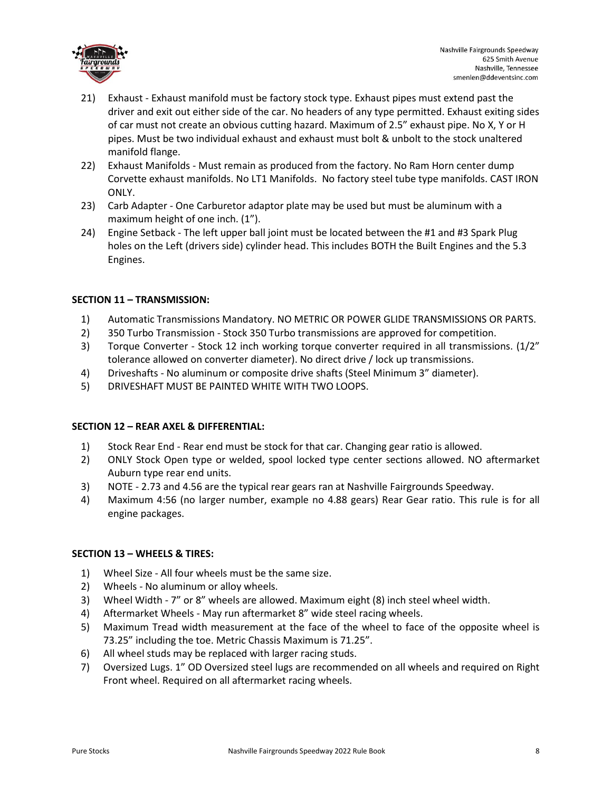

- 21) Exhaust Exhaust manifold must be factory stock type. Exhaust pipes must extend past the driver and exit out either side of the car. No headers of any type permitted. Exhaust exiting sides of car must not create an obvious cutting hazard. Maximum of 2.5" exhaust pipe. No X, Y or H pipes. Must be two individual exhaust and exhaust must bolt & unbolt to the stock unaltered manifold flange.
- 22) Exhaust Manifolds Must remain as produced from the factory. No Ram Horn center dump Corvette exhaust manifolds. No LT1 Manifolds. No factory steel tube type manifolds. CAST IRON ONLY.
- 23) Carb Adapter One Carburetor adaptor plate may be used but must be aluminum with a maximum height of one inch. (1").
- 24) Engine Setback The left upper ball joint must be located between the #1 and #3 Spark Plug holes on the Left (drivers side) cylinder head. This includes BOTH the Built Engines and the 5.3 Engines.

## **SECTION 11 – TRANSMISSION:**

- 1) Automatic Transmissions Mandatory. NO METRIC OR POWER GLIDE TRANSMISSIONS OR PARTS.
- 2) 350 Turbo Transmission Stock 350 Turbo transmissions are approved for competition.
- 3) Torque Converter Stock 12 inch working torque converter required in all transmissions. (1/2" tolerance allowed on converter diameter). No direct drive / lock up transmissions.
- 4) Driveshafts No aluminum or composite drive shafts (Steel Minimum 3" diameter).
- 5) DRIVESHAFT MUST BE PAINTED WHITE WITH TWO LOOPS.

### **SECTION 12 – REAR AXEL & DIFFERENTIAL:**

- 1) Stock Rear End Rear end must be stock for that car. Changing gear ratio is allowed.
- 2) ONLY Stock Open type or welded, spool locked type center sections allowed. NO aftermarket Auburn type rear end units.
- 3) NOTE 2.73 and 4.56 are the typical rear gears ran at Nashville Fairgrounds Speedway.
- 4) Maximum 4:56 (no larger number, example no 4.88 gears) Rear Gear ratio. This rule is for all engine packages.

### **SECTION 13 – WHEELS & TIRES:**

- 1) Wheel Size All four wheels must be the same size.
- 2) Wheels No aluminum or alloy wheels.
- 3) Wheel Width 7" or 8" wheels are allowed. Maximum eight (8) inch steel wheel width.
- 4) Aftermarket Wheels May run aftermarket 8" wide steel racing wheels.
- 5) Maximum Tread width measurement at the face of the wheel to face of the opposite wheel is 73.25" including the toe. Metric Chassis Maximum is 71.25".
- 6) All wheel studs may be replaced with larger racing studs.
- 7) Oversized Lugs. 1" OD Oversized steel lugs are recommended on all wheels and required on Right Front wheel. Required on all aftermarket racing wheels.